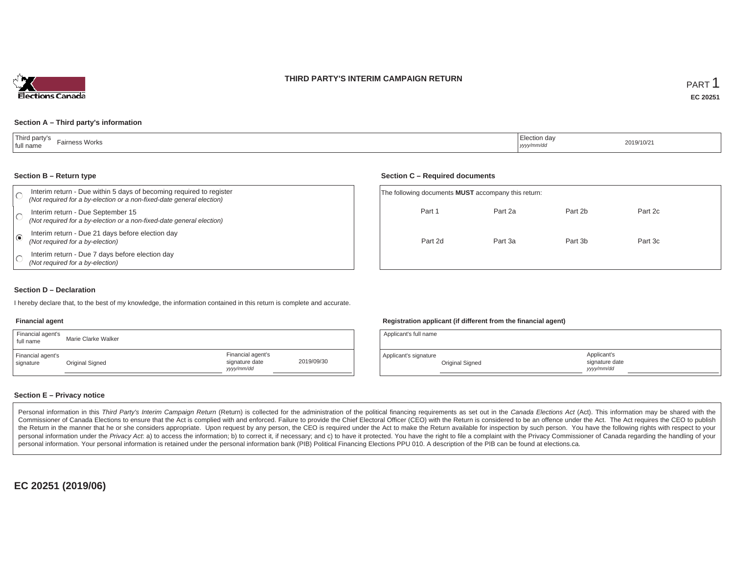#### **THIRD PARTY'S INTERIM CAMPAIGN RETURN**



#### **Section A – Third party's information**

| Third party's<br>Fairness Works<br>  full name | $\overline{\phantom{0}}$<br>, Election day<br>أملطا ووود<br>yyyy/mm/dd | 2019/10/21 |
|------------------------------------------------|------------------------------------------------------------------------|------------|
|------------------------------------------------|------------------------------------------------------------------------|------------|

#### **Section B – Return type**

|  | Interim return - Due within 5 days of becoming required to register<br>(Not required for a by-election or a non-fixed-date general election) | The following documents <b>MUST</b> accompany this |         |
|--|----------------------------------------------------------------------------------------------------------------------------------------------|----------------------------------------------------|---------|
|  | Interim return - Due September 15<br>(Not required for a by-election or a non-fixed-date general election)                                   | Part 1                                             | Part 2a |
|  | Interim return - Due 21 days before election day<br>(Not required for a by-election)                                                         | Part 2d                                            | Part 3a |
|  | Interim return - Due 7 days before election day<br>(Not required for a by-election)                                                          |                                                    |         |

#### **Section C – Required documents**

| The following documents MUST accompany this return: |         |         |         |  |
|-----------------------------------------------------|---------|---------|---------|--|
| Part 1                                              | Part 2a | Part 2b | Part 2c |  |
| Part 2d                                             | Part 3a | Part 3b | Part 3c |  |
|                                                     |         |         |         |  |

#### **Section D – Declaration**

I hereby declare that, to the best of my knowledge, the information contained in this return is complete and accurate.

#### **Financial agent**

| Financial agent's<br>full name | Marie Clarke Walker |                                                  |            |
|--------------------------------|---------------------|--------------------------------------------------|------------|
| Financial agent's<br>signature | Original Signed     | Financial agent's<br>signature date<br>yyy/mm/dd | 2019/09/30 |

## **Registration applicant (if different from the financial agent)**

| Applicant's full name |                 |                                             |  |
|-----------------------|-----------------|---------------------------------------------|--|
| Applicant's signature | Original Signed | Applicant's<br>signature date<br>vyyy/mm/dd |  |

## **Section E – Privacy notice**

Personal information in this Third Party's Interim Campaign Return (Return) is collected for the administration of the political financing requirements as set out in the Canada Elections Act (Act). This information may be Commissioner of Canada Elections to ensure that the Act is complied with and enforced. Failure to provide the Chief Electoral Officer (CEO) with the Return is considered to be an offence under the Act. The Act requires the the Return in the manner that he or she considers appropriate. Upon request by any person, the CEO is required under the Act to make the Return available for inspection by such person. You have the following rights with re personal information under the Privacy Act. a) to access the information; b) to correct it, if necessary; and c) to have it protected. You have the right to file a complaint with the Privacy Commissioner of Canada regardin personal information. Your personal information is retained under the personal information bank (PIB) Political Financing Elections PPU 010. A description of the PIB can be found at elections.ca.

**EC 20251 (2019/06)**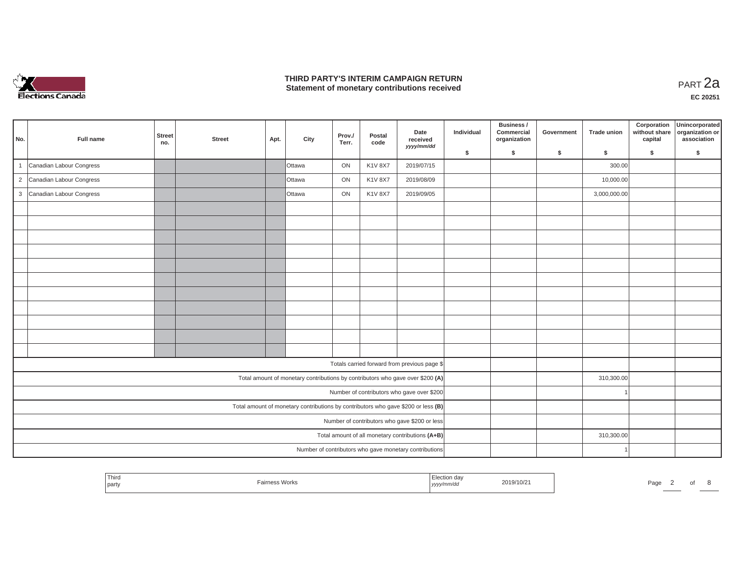

## **THIRD PARTY'S INTERIM CAMPAIGN RETURN THIRD PARTY'S INTERIM CAMPAIGN RETURN<br>Statement of monetary contributions received PART 2a**

| No. | Full name                  | <b>Street</b><br>no. | <b>Street</b> | Apt. | City                                                                              | Prov./<br>Terr. | Postal<br>code | Date<br>received<br>yyyy/mm/dd                         | Individual | Business /<br>Commercial<br>organization | Government | <b>Trade union</b> | Corporation<br>without share<br>capital | Unincorporated<br>organization or<br>association |
|-----|----------------------------|----------------------|---------------|------|-----------------------------------------------------------------------------------|-----------------|----------------|--------------------------------------------------------|------------|------------------------------------------|------------|--------------------|-----------------------------------------|--------------------------------------------------|
|     |                            |                      |               |      |                                                                                   |                 |                |                                                        | \$         | s.                                       | \$         | S.                 | \$                                      | S.                                               |
|     | Canadian Labour Congress   |                      |               |      | Ottawa                                                                            | ON              | <b>K1V 8X7</b> | 2019/07/15                                             |            |                                          |            | 300.00             |                                         |                                                  |
|     | 2 Canadian Labour Congress |                      |               |      | <b>Ottawa</b>                                                                     | ON              | <b>K1V 8X7</b> | 2019/08/09                                             |            |                                          |            | 10,000.00          |                                         |                                                  |
|     | 3 Canadian Labour Congress |                      |               |      | Ottawa                                                                            | ON              | K1V 8X7        | 2019/09/05                                             |            |                                          |            | 3,000,000.00       |                                         |                                                  |
|     |                            |                      |               |      |                                                                                   |                 |                |                                                        |            |                                          |            |                    |                                         |                                                  |
|     |                            |                      |               |      |                                                                                   |                 |                |                                                        |            |                                          |            |                    |                                         |                                                  |
|     |                            |                      |               |      |                                                                                   |                 |                |                                                        |            |                                          |            |                    |                                         |                                                  |
|     |                            |                      |               |      |                                                                                   |                 |                |                                                        |            |                                          |            |                    |                                         |                                                  |
|     |                            |                      |               |      |                                                                                   |                 |                |                                                        |            |                                          |            |                    |                                         |                                                  |
|     |                            |                      |               |      |                                                                                   |                 |                |                                                        |            |                                          |            |                    |                                         |                                                  |
|     |                            |                      |               |      |                                                                                   |                 |                |                                                        |            |                                          |            |                    |                                         |                                                  |
|     |                            |                      |               |      |                                                                                   |                 |                |                                                        |            |                                          |            |                    |                                         |                                                  |
|     |                            |                      |               |      |                                                                                   |                 |                |                                                        |            |                                          |            |                    |                                         |                                                  |
|     |                            |                      |               |      |                                                                                   |                 |                |                                                        |            |                                          |            |                    |                                         |                                                  |
|     |                            |                      |               |      |                                                                                   |                 |                |                                                        |            |                                          |            |                    |                                         |                                                  |
|     |                            |                      |               |      |                                                                                   |                 |                | Totals carried forward from previous page \$           |            |                                          |            |                    |                                         |                                                  |
|     |                            |                      |               |      | Total amount of monetary contributions by contributors who gave over \$200 (A)    |                 |                |                                                        |            |                                          |            | 310,300.00         |                                         |                                                  |
|     |                            |                      |               |      |                                                                                   |                 |                | Number of contributors who gave over \$200             |            |                                          |            |                    |                                         |                                                  |
|     |                            |                      |               |      | Total amount of monetary contributions by contributors who gave \$200 or less (B) |                 |                |                                                        |            |                                          |            |                    |                                         |                                                  |
|     |                            |                      |               |      |                                                                                   |                 |                | Number of contributors who gave \$200 or less          |            |                                          |            |                    |                                         |                                                  |
|     |                            |                      |               |      |                                                                                   |                 |                | Total amount of all monetary contributions (A+B)       |            |                                          |            | 310,300.00         |                                         |                                                  |
|     |                            |                      |               |      |                                                                                   |                 |                | Number of contributors who gave monetary contributions |            |                                          |            |                    |                                         |                                                  |

| Third<br>and the control of the con-<br>  part | 2019/10/21<br>.<br>,,,,, | ∍∼<br>⊢aut |
|------------------------------------------------|--------------------------|------------|
|------------------------------------------------|--------------------------|------------|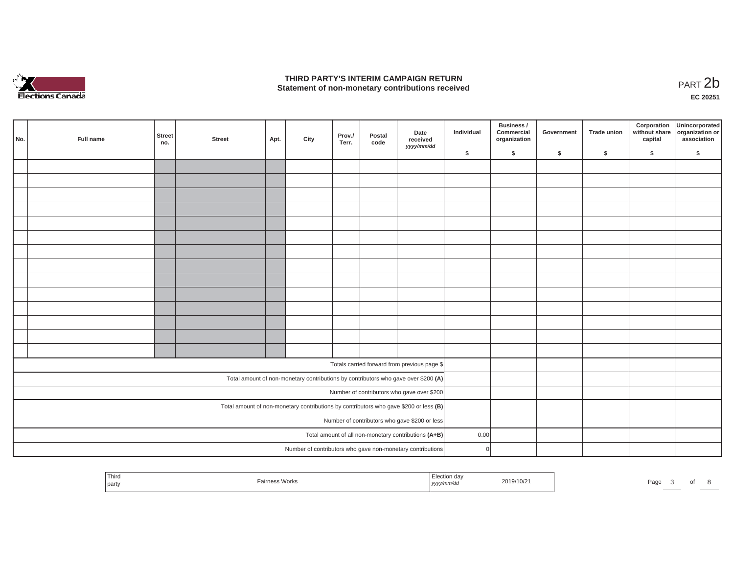

## **THIRD PARTY'S INTERIM CAMPAIGN RETURN**  THIRD PARTY'S INTERIM CAMPAIGN RETURN<br>Statement of non-monetary contributions received<br>**PART 2**b

**EC 20251**

| No. | Full name | <b>Street</b><br>no. | <b>Street</b> | Apt. | City | Prov./<br>Terr. | Postal<br>code | Date<br>received<br>yyyy/mm/dd                                                        | Individual   | Business /<br>Commercial<br>organization | Government | <b>Trade union</b> | Corporation<br>without share<br>capital | Unincorporated<br>organization or<br>association |
|-----|-----------|----------------------|---------------|------|------|-----------------|----------------|---------------------------------------------------------------------------------------|--------------|------------------------------------------|------------|--------------------|-----------------------------------------|--------------------------------------------------|
|     |           |                      |               |      |      |                 |                |                                                                                       | \$           | \$                                       | \$         | \$                 | \$                                      | \$                                               |
|     |           |                      |               |      |      |                 |                |                                                                                       |              |                                          |            |                    |                                         |                                                  |
|     |           |                      |               |      |      |                 |                |                                                                                       |              |                                          |            |                    |                                         |                                                  |
|     |           |                      |               |      |      |                 |                |                                                                                       |              |                                          |            |                    |                                         |                                                  |
|     |           |                      |               |      |      |                 |                |                                                                                       |              |                                          |            |                    |                                         |                                                  |
|     |           |                      |               |      |      |                 |                |                                                                                       |              |                                          |            |                    |                                         |                                                  |
|     |           |                      |               |      |      |                 |                |                                                                                       |              |                                          |            |                    |                                         |                                                  |
|     |           |                      |               |      |      |                 |                |                                                                                       |              |                                          |            |                    |                                         |                                                  |
|     |           |                      |               |      |      |                 |                |                                                                                       |              |                                          |            |                    |                                         |                                                  |
|     |           |                      |               |      |      |                 |                |                                                                                       |              |                                          |            |                    |                                         |                                                  |
|     |           |                      |               |      |      |                 |                |                                                                                       |              |                                          |            |                    |                                         |                                                  |
|     |           |                      |               |      |      |                 |                |                                                                                       |              |                                          |            |                    |                                         |                                                  |
|     |           |                      |               |      |      |                 |                |                                                                                       |              |                                          |            |                    |                                         |                                                  |
|     |           |                      |               |      |      |                 |                |                                                                                       |              |                                          |            |                    |                                         |                                                  |
|     |           |                      |               |      |      |                 |                |                                                                                       |              |                                          |            |                    |                                         |                                                  |
|     |           |                      |               |      |      |                 |                | Totals carried forward from previous page \$                                          |              |                                          |            |                    |                                         |                                                  |
|     |           |                      |               |      |      |                 |                | Total amount of non-monetary contributions by contributors who gave over \$200 (A)    |              |                                          |            |                    |                                         |                                                  |
|     |           |                      |               |      |      |                 |                | Number of contributors who gave over \$200                                            |              |                                          |            |                    |                                         |                                                  |
|     |           |                      |               |      |      |                 |                | Total amount of non-monetary contributions by contributors who gave \$200 or less (B) |              |                                          |            |                    |                                         |                                                  |
|     |           |                      |               |      |      |                 |                | Number of contributors who gave \$200 or less                                         |              |                                          |            |                    |                                         |                                                  |
|     |           |                      |               |      |      |                 |                | Total amount of all non-monetary contributions (A+B)                                  | 0.00         |                                          |            |                    |                                         |                                                  |
|     |           |                      |               |      |      |                 |                | Number of contributors who gave non-monetary contributions                            | $\mathbf{0}$ |                                          |            |                    |                                         |                                                  |

| Third<br>.<br><b>Work</b><br>party | $\cdots$<br>,,,,, | 019/10/2 | Page |  |  |  |
|------------------------------------|-------------------|----------|------|--|--|--|
|------------------------------------|-------------------|----------|------|--|--|--|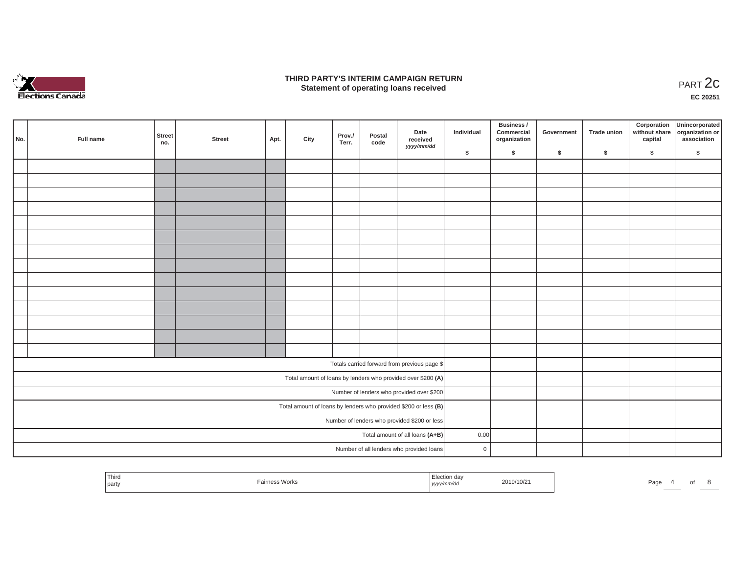

#### **THIRD PARTY'S INTERIM CAMPAIGN RETURN**  RD PARTY'S INTERIM CAMPAIGN RETURN<br>Statement of operating loans received **PART 2c**

**EC 20251**

| No. | Full name | <b>Street</b><br>no. | Street | Apt. | City | Prov./<br>Terr. | Postal<br>code | Date<br>received<br>yyyy/mm/dd                                    | Individual     | Business /<br>Commercial<br>organization | Government | Trade union | Corporation<br>capital | Unincorporated<br>without share organization or<br>association |
|-----|-----------|----------------------|--------|------|------|-----------------|----------------|-------------------------------------------------------------------|----------------|------------------------------------------|------------|-------------|------------------------|----------------------------------------------------------------|
|     |           |                      |        |      |      |                 |                |                                                                   | \$             | $\sqrt{2}$                               | \$         | $\sqrt{2}$  | \$                     | \$                                                             |
|     |           |                      |        |      |      |                 |                |                                                                   |                |                                          |            |             |                        |                                                                |
|     |           |                      |        |      |      |                 |                |                                                                   |                |                                          |            |             |                        |                                                                |
|     |           |                      |        |      |      |                 |                |                                                                   |                |                                          |            |             |                        |                                                                |
|     |           |                      |        |      |      |                 |                |                                                                   |                |                                          |            |             |                        |                                                                |
|     |           |                      |        |      |      |                 |                |                                                                   |                |                                          |            |             |                        |                                                                |
|     |           |                      |        |      |      |                 |                |                                                                   |                |                                          |            |             |                        |                                                                |
|     |           |                      |        |      |      |                 |                |                                                                   |                |                                          |            |             |                        |                                                                |
|     |           |                      |        |      |      |                 |                |                                                                   |                |                                          |            |             |                        |                                                                |
|     |           |                      |        |      |      |                 |                |                                                                   |                |                                          |            |             |                        |                                                                |
|     |           |                      |        |      |      |                 |                |                                                                   |                |                                          |            |             |                        |                                                                |
|     |           |                      |        |      |      |                 |                |                                                                   |                |                                          |            |             |                        |                                                                |
|     |           |                      |        |      |      |                 |                |                                                                   |                |                                          |            |             |                        |                                                                |
|     |           |                      |        |      |      |                 |                |                                                                   |                |                                          |            |             |                        |                                                                |
|     |           |                      |        |      |      |                 |                |                                                                   |                |                                          |            |             |                        |                                                                |
|     |           |                      |        |      |      |                 |                | Totals carried forward from previous page \$                      |                |                                          |            |             |                        |                                                                |
|     |           |                      |        |      |      |                 |                | Total amount of loans by lenders who provided over \$200 (A)      |                |                                          |            |             |                        |                                                                |
|     |           |                      |        |      |      |                 |                | Number of lenders who provided over \$200                         |                |                                          |            |             |                        |                                                                |
|     |           |                      |        |      |      |                 |                | Total amount of loans by lenders who provided \$200 or less $(B)$ |                |                                          |            |             |                        |                                                                |
|     |           |                      |        |      |      |                 |                | Number of lenders who provided \$200 or less                      |                |                                          |            |             |                        |                                                                |
|     |           |                      |        |      |      |                 |                | Total amount of all loans (A+B)                                   | 0.00           |                                          |            |             |                        |                                                                |
|     |           |                      |        |      |      |                 |                | Number of all lenders who provided loans                          | $\overline{0}$ |                                          |            |             |                        |                                                                |

| Third<br>the control of the control of<br>party | - -<br>irness Works | Election day<br>yyyy/mm/dd | 2019/10/21 | Page. |  |  |
|-------------------------------------------------|---------------------|----------------------------|------------|-------|--|--|
|                                                 |                     |                            |            |       |  |  |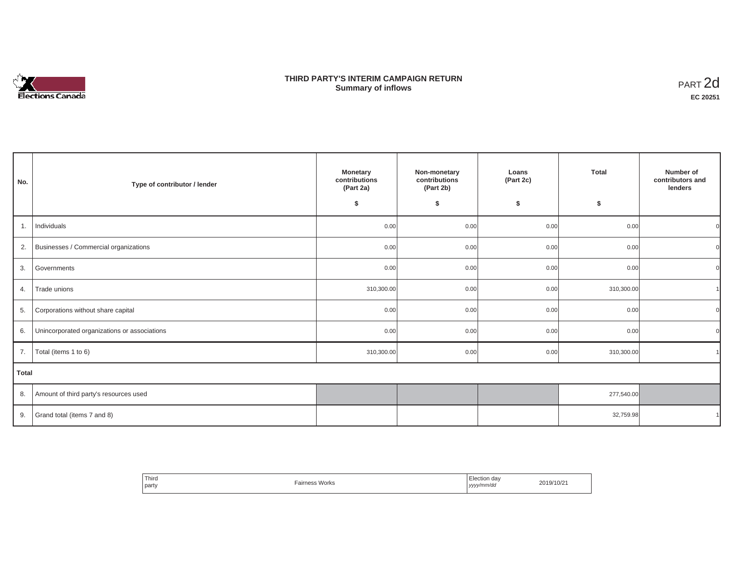# Elections Canada

## **THIRD PARTY'S INTERIM CAMPAIGN RETURN Summary of inflows**

| PART <sub>2d</sub> |
|--------------------|
| EC 20251           |

| No.   | Type of contributor / lender                 | <b>Monetary</b><br>contributions<br>(Part 2a)<br>\$ | Non-monetary<br>contributions<br>(Part 2b)<br>\$ | Loans<br>(Part 2c)<br>\$ | <b>Total</b><br>\$ | Number of<br>contributors and<br>lenders |
|-------|----------------------------------------------|-----------------------------------------------------|--------------------------------------------------|--------------------------|--------------------|------------------------------------------|
| 1.    | Individuals                                  | 0.00                                                | 0.00                                             | 0.00                     | 0.00               |                                          |
| 2.    | Businesses / Commercial organizations        | 0.00                                                | 0.00                                             | 0.00                     | 0.00               |                                          |
| 3.    | Governments                                  | 0.00                                                | 0.00                                             | 0.00                     | 0.00               |                                          |
| 4.    | Trade unions                                 | 310,300.00                                          | 0.00                                             | 0.00                     | 310,300.00         |                                          |
| 5.    | Corporations without share capital           | 0.00                                                | 0.00                                             | 0.00                     | 0.00               |                                          |
| 6.    | Unincorporated organizations or associations | 0.00                                                | 0.00                                             | 0.00                     | 0.00               |                                          |
| 7.    | Total (items 1 to 6)                         | 310,300.00                                          | 0.00                                             | 0.00                     | 310,300.00         |                                          |
| Total |                                              |                                                     |                                                  |                          |                    |                                          |
| 8.    | Amount of third party's resources used       |                                                     |                                                  |                          | 277,540.00         |                                          |
| 9.    | Grand total (items 7 and 8)                  |                                                     |                                                  |                          | 32,759.98          |                                          |

| Third<br>party | <b>Fairness Works</b> | -<br>Election day<br>yyyy/mm/dd<br>. | 2019/10/21 |
|----------------|-----------------------|--------------------------------------|------------|
|----------------|-----------------------|--------------------------------------|------------|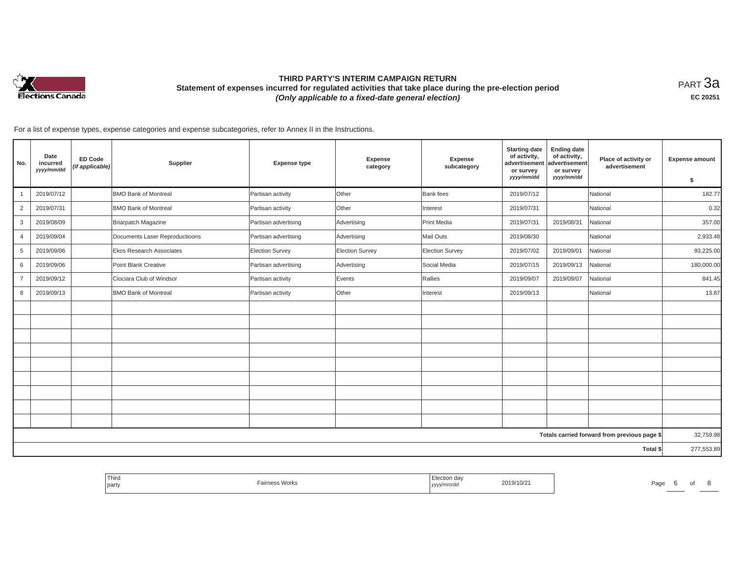

# **THIRD PARTY'S INTERIM CAMPAIGN RETURN Statement of expenses incurred for regulated activities that take place during the pre-election period**  *(Only applicable to a fixed-date general election)*

<code>PART $3$ a</code> **EC 20251**

For a list of expense types, expense categories and expense subcategories, refer to Annex II in the Instructions.

| No.            | Date<br>incurred<br>yyyy/mm/dd | <b>ED Code</b><br>(if applicable) | Supplier                        | <b>Expense type</b>    | Expense<br>category | Expense<br>subcategory | <b>Starting date</b><br>of activity,<br>advertisement<br>or survey<br>yyyy/mm/dd | <b>Ending date</b><br>of activity,<br>advertisement<br>or survey<br>yyyy/mm/dd | Place of activity or<br>advertisement        | <b>Expense amount</b><br>\$ |
|----------------|--------------------------------|-----------------------------------|---------------------------------|------------------------|---------------------|------------------------|----------------------------------------------------------------------------------|--------------------------------------------------------------------------------|----------------------------------------------|-----------------------------|
|                | 2019/07/12                     |                                   | <b>BMO Bank of Montreal</b>     | Partisan activity      | Other               | Bank fees              | 2019/07/12                                                                       |                                                                                | National                                     | 182.77                      |
| $\overline{2}$ | 2019/07/31                     |                                   | <b>BMO Bank of Montreal</b>     | Partisan activity      | Other               | Interest               | 2019/07/31                                                                       |                                                                                | National                                     | 0.32                        |
| 3              | 2019/08/09                     |                                   | Briarpatch Magazine             | Partisan advertising   | Advertising         | Print Media            | 2019/07/31                                                                       | 2019/08/31                                                                     | National                                     | 357.00                      |
| 4              | 2019/09/04                     |                                   | Documents Laser Reproductioons  | Partisan advertising   | Advertising         | Mail Outs              | 2019/08/30                                                                       |                                                                                | National                                     | 2,933.48                    |
| 5              | 2019/09/06                     |                                   | <b>Ekos Research Associates</b> | <b>Election Survey</b> | Election Survey     | <b>Election Survey</b> | 2019/07/02                                                                       | 2019/09/01                                                                     | National                                     | 93,225.00                   |
| 6              | 2019/09/06                     |                                   | Point Blank Creative            | Partisan advertising   | Advertising         | Social Media           | 2019/07/15                                                                       | 2019/09/13                                                                     | National                                     | 180,000.00                  |
| $\overline{7}$ | 2019/09/12                     |                                   | Ciociara Club of Windsor        | Partisan activity      | Events              | Rallies                | 2019/09/07                                                                       | 2019/09/07                                                                     | National                                     | 841.45                      |
| 8              | 2019/09/13                     |                                   | <b>BMO Bank of Montreal</b>     | Partisan activity      | Other               | Interest               | 2019/09/13                                                                       |                                                                                | National                                     | 13.87                       |
|                |                                |                                   |                                 |                        |                     |                        |                                                                                  |                                                                                |                                              |                             |
|                |                                |                                   |                                 |                        |                     |                        |                                                                                  |                                                                                |                                              |                             |
|                |                                |                                   |                                 |                        |                     |                        |                                                                                  |                                                                                |                                              |                             |
|                |                                |                                   |                                 |                        |                     |                        |                                                                                  |                                                                                |                                              |                             |
|                |                                |                                   |                                 |                        |                     |                        |                                                                                  |                                                                                |                                              |                             |
|                |                                |                                   |                                 |                        |                     |                        |                                                                                  |                                                                                |                                              |                             |
|                |                                |                                   |                                 |                        |                     |                        |                                                                                  |                                                                                |                                              |                             |
|                |                                |                                   |                                 |                        |                     |                        |                                                                                  |                                                                                |                                              |                             |
|                |                                |                                   |                                 |                        |                     |                        |                                                                                  |                                                                                |                                              |                             |
|                |                                |                                   |                                 |                        |                     |                        |                                                                                  |                                                                                | Totals carried forward from previous page \$ | 32,759.98                   |
|                |                                |                                   |                                 |                        |                     |                        |                                                                                  |                                                                                | Total \$                                     | 277,553.89                  |

| Third<br>aa\<br><b>Works</b><br><b>Contract Contract Contract Contract</b><br>Pa <sub>0</sub><br>1.9/10/2<br>party<br>,,,,,,,<br>,,,,, |  |  |  |  |
|----------------------------------------------------------------------------------------------------------------------------------------|--|--|--|--|
|----------------------------------------------------------------------------------------------------------------------------------------|--|--|--|--|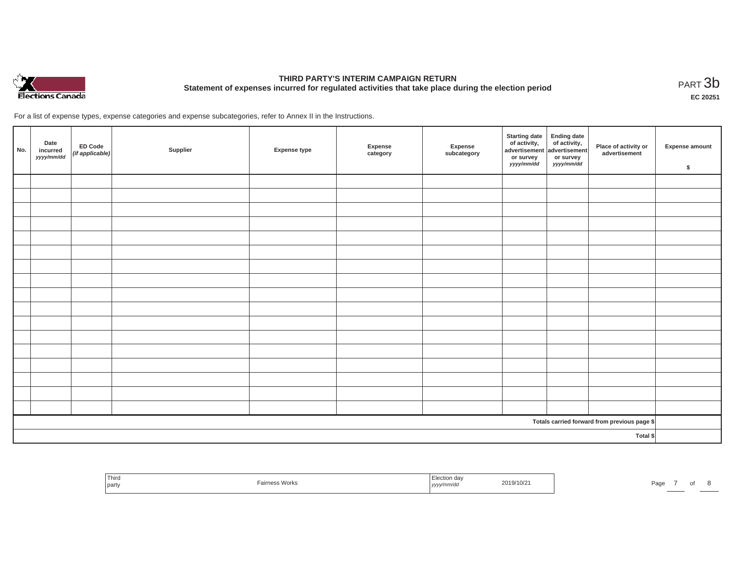

# **THIRD PARTY'S INTERIM CAMPAIGN RETURN Statement of expenses incurred for regulated activities that take place during the election period**<br>РАRТ  $3\mathrm{b}$

**EC 20251**

For a list of expense types, expense categories and expense subcategories, refer to Annex II in the Instructions.

| No. | Date<br>incurred<br>yyyy/mm/dd | ED Code<br>(if applicable) | Supplier | <b>Expense type</b> | Expense<br>category | Expense<br>subcategory | Starting date<br>of activity,<br>advertisement<br>advertisement<br>dvertisement<br>or survey<br>yyyy/mm/dd | or survey<br>yyyy/mm/dd | Place of activity or<br>advertisement        | Expense amount<br>\$ |
|-----|--------------------------------|----------------------------|----------|---------------------|---------------------|------------------------|------------------------------------------------------------------------------------------------------------|-------------------------|----------------------------------------------|----------------------|
|     |                                |                            |          |                     |                     |                        |                                                                                                            |                         |                                              |                      |
|     |                                |                            |          |                     |                     |                        |                                                                                                            |                         |                                              |                      |
|     |                                |                            |          |                     |                     |                        |                                                                                                            |                         |                                              |                      |
|     |                                |                            |          |                     |                     |                        |                                                                                                            |                         |                                              |                      |
|     |                                |                            |          |                     |                     |                        |                                                                                                            |                         |                                              |                      |
|     |                                |                            |          |                     |                     |                        |                                                                                                            |                         |                                              |                      |
|     |                                |                            |          |                     |                     |                        |                                                                                                            |                         |                                              |                      |
|     |                                |                            |          |                     |                     |                        |                                                                                                            |                         |                                              |                      |
|     |                                |                            |          |                     |                     |                        |                                                                                                            |                         |                                              |                      |
|     |                                |                            |          |                     |                     |                        |                                                                                                            |                         |                                              |                      |
|     |                                |                            |          |                     |                     |                        |                                                                                                            |                         |                                              |                      |
|     |                                |                            |          |                     |                     |                        |                                                                                                            |                         |                                              |                      |
|     |                                |                            |          |                     |                     |                        |                                                                                                            |                         |                                              |                      |
|     |                                |                            |          |                     |                     |                        |                                                                                                            |                         |                                              |                      |
|     |                                |                            |          |                     |                     |                        |                                                                                                            |                         |                                              |                      |
|     |                                |                            |          |                     |                     |                        |                                                                                                            |                         |                                              |                      |
|     |                                |                            |          |                     |                     |                        |                                                                                                            |                         |                                              |                      |
|     |                                |                            |          |                     |                     |                        |                                                                                                            |                         | Totals carried forward from previous page \$ |                      |
|     | Total \$                       |                            |          |                     |                     |                        |                                                                                                            |                         |                                              |                      |

| Third<br>าร Works<br>party | 2/10/2<br>,,,,, | Page |
|----------------------------|-----------------|------|
|----------------------------|-----------------|------|